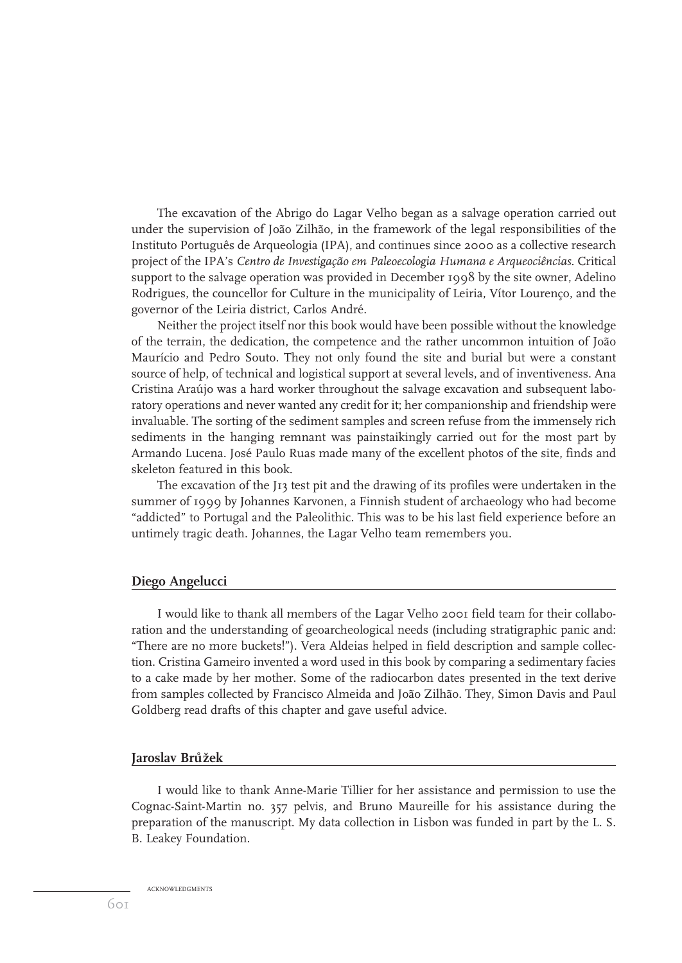The excavation of the Abrigo do Lagar Velho began as a salvage operation carried out under the supervision of João Zilhão, in the framework of the legal responsibilities of the Instituto Português de Arqueologia (IPA), and continues since 2000 as a collective research project of the IPA's *Centro de Investigação em Paleoecologia Humana e Arqueociências*. Critical support to the salvage operation was provided in December 1998 by the site owner, Adelino Rodrigues, the councellor for Culture in the municipality of Leiria, Vítor Lourenço, and the governor of the Leiria district, Carlos André.

Neither the project itself nor this book would have been possible without the knowledge of the terrain, the dedication, the competence and the rather uncommon intuition of João Maurício and Pedro Souto. They not only found the site and burial but were a constant source of help, of technical and logistical support at several levels, and of inventiveness. Ana Cristina Araújo was a hard worker throughout the salvage excavation and subsequent laboratory operations and never wanted any credit for it; her companionship and friendship were invaluable. The sorting of the sediment samples and screen refuse from the immensely rich sediments in the hanging remnant was painstaikingly carried out for the most part by Armando Lucena. José Paulo Ruas made many of the excellent photos of the site, finds and skeleton featured in this book.

The excavation of the J13 test pit and the drawing of its profiles were undertaken in the summer of 1999 by Johannes Karvonen, a Finnish student of archaeology who had become "addicted" to Portugal and the Paleolithic. This was to be his last field experience before an untimely tragic death. Johannes, the Lagar Velho team remembers you.

### **Diego Angelucci**

I would like to thank all members of the Lagar Velho 2001 field team for their collaboration and the understanding of geoarcheological needs (including stratigraphic panic and: "There are no more buckets!"). Vera Aldeias helped in field description and sample collection. Cristina Gameiro invented a word used in this book by comparing a sedimentary facies to a cake made by her mother. Some of the radiocarbon dates presented in the text derive from samples collected by Francisco Almeida and João Zilhão. They, Simon Davis and Paul Goldberg read drafts of this chapter and gave useful advice.

# <u>Jaroslav Brůžek</u>

I would like to thank Anne-Marie Tillier for her assistance and permission to use the Cognac-Saint-Martin no. 357 pelvis, and Bruno Maureille for his assistance during the preparation of the manuscript. My data collection in Lisbon was funded in part by the L. S. B. Leakey Foundation.

ACKNOWLEDGMENTS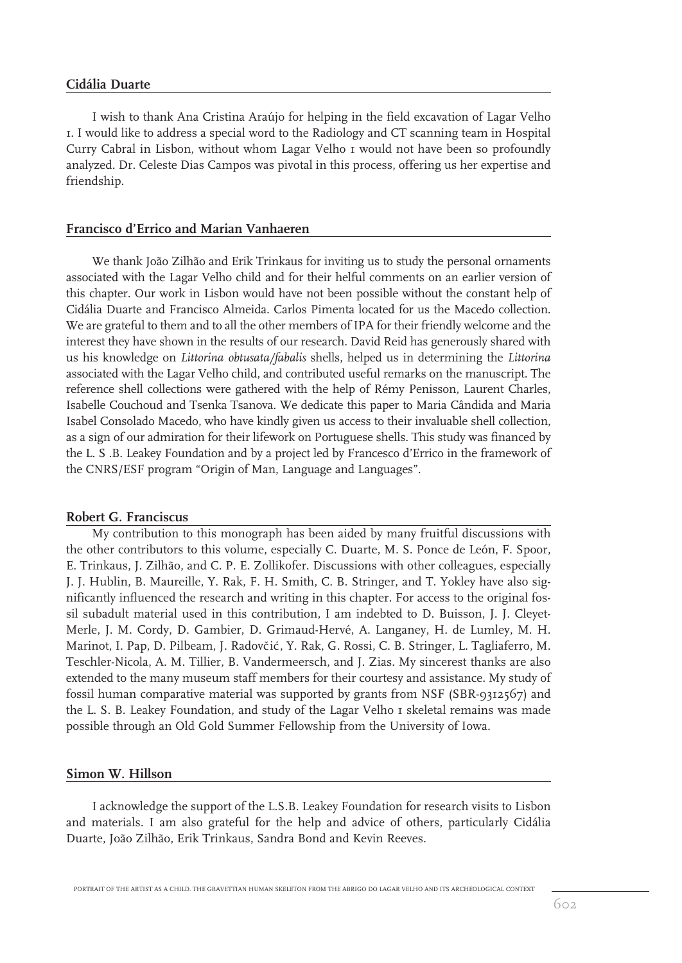## **Cidália Duarte**

I wish to thank Ana Cristina Araújo for helping in the field excavation of Lagar Velho 1. I would like to address a special word to the Radiology and CT scanning team in Hospital Curry Cabral in Lisbon, without whom Lagar Velho 1 would not have been so profoundly analyzed. Dr. Celeste Dias Campos was pivotal in this process, offering us her expertise and friendship.

## **Francisco d'Errico and Marian Vanhaeren**

We thank João Zilhão and Erik Trinkaus for inviting us to study the personal ornaments associated with the Lagar Velho child and for their helful comments on an earlier version of this chapter. Our work in Lisbon would have not been possible without the constant help of Cidália Duarte and Francisco Almeida. Carlos Pimenta located for us the Macedo collection. We are grateful to them and to all the other members of IPA for their friendly welcome and the interest they have shown in the results of our research. David Reid has generously shared with us his knowledge on *Littorina obtusata/fabalis* shells, helped us in determining the *Littorina* associated with the Lagar Velho child, and contributed useful remarks on the manuscript. The reference shell collections were gathered with the help of Rémy Penisson, Laurent Charles, Isabelle Couchoud and Tsenka Tsanova. We dedicate this paper to Maria Cândida and Maria Isabel Consolado Macedo, who have kindly given us access to their invaluable shell collection, as a sign of our admiration for their lifework on Portuguese shells. This study was financed by the L. S .B. Leakey Foundation and by a project led by Francesco d'Errico in the framework of the CNRS/ESF program "Origin of Man, Language and Languages".

### **Robert G. Franciscus**

My contribution to this monograph has been aided by many fruitful discussions with the other contributors to this volume, especially C. Duarte, M. S. Ponce de León, F. Spoor, E. Trinkaus, J. Zilhão, and C. P. E. Zollikofer. Discussions with other colleagues, especially J. J. Hublin, B. Maureille, Y. Rak, F. H. Smith, C. B. Stringer, and T. Yokley have also significantly influenced the research and writing in this chapter. For access to the original fossil subadult material used in this contribution, I am indebted to D. Buisson, J. J. Cleyet-Merle, J. M. Cordy, D. Gambier, D. Grimaud-Hervé, A. Langaney, H. de Lumley, M. H. Marinot, I. Pap, D. Pilbeam, J. Radovčić, Y. Rak, G. Rossi, C. B. Stringer, L. Tagliaferro, M. Teschler-Nicola, A. M. Tillier, B. Vandermeersch, and J. Zias. My sincerest thanks are also extended to the many museum staff members for their courtesy and assistance. My study of fossil human comparative material was supported by grants from NSF (SBR-9312567) and the L. S. B. Leakey Foundation, and study of the Lagar Velho I skeletal remains was made possible through an Old Gold Summer Fellowship from the University of Iowa.

## **Simon W. Hillson**

I acknowledge the support of the L.S.B. Leakey Foundation for research visits to Lisbon and materials. I am also grateful for the help and advice of others, particularly Cidália Duarte, João Zilhão, Erik Trinkaus, Sandra Bond and Kevin Reeves.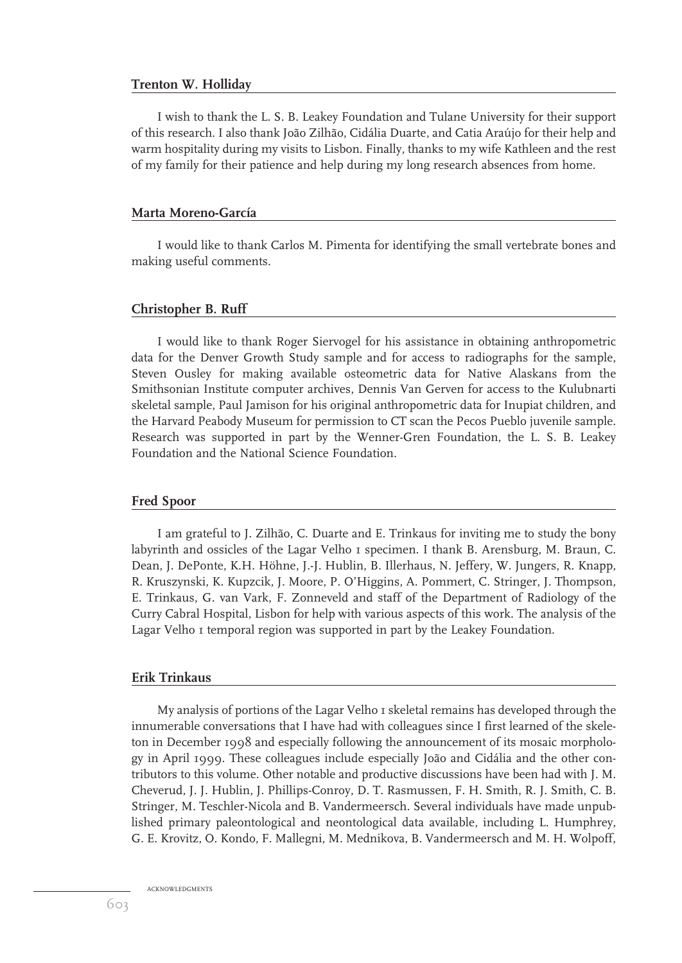## **Trenton W. Holliday**

I wish to thank the L. S. B. Leakey Foundation and Tulane University for their support of this research. I also thank João Zilhão, Cidália Duarte, and Catia Araújo for their help and warm hospitality during my visits to Lisbon. Finally, thanks to my wife Kathleen and the rest of my family for their patience and help during my long research absences from home.

#### **Marta Moreno-García**

I would like to thank Carlos M. Pimenta for identifying the small vertebrate bones and making useful comments.

#### **Christopher B. Ruff**

I would like to thank Roger Siervogel for his assistance in obtaining anthropometric data for the Denver Growth Study sample and for access to radiographs for the sample, Steven Ousley for making available osteometric data for Native Alaskans from the Smithsonian Institute computer archives, Dennis Van Gerven for access to the Kulubnarti skeletal sample, Paul Jamison for his original anthropometric data for Inupiat children, and the Harvard Peabody Museum for permission to CT scan the Pecos Pueblo juvenile sample. Research was supported in part by the Wenner-Gren Foundation, the L. S. B. Leakey Foundation and the National Science Foundation.

### **Fred Spoor**

I am grateful to J. Zilhão, C. Duarte and E. Trinkaus for inviting me to study the bony labyrinth and ossicles of the Lagar Velho 1 specimen. I thank B. Arensburg, M. Braun, C. Dean, J. DePonte, K.H. Höhne, J.-J. Hublin, B. Illerhaus, N. Jeffery, W. Jungers, R. Knapp, R. Kruszynski, K. Kupzcik, J. Moore, P. O'Higgins, A. Pommert, C. Stringer, J. Thompson, E. Trinkaus, G. van Vark, F. Zonneveld and staff of the Department of Radiology of the Curry Cabral Hospital, Lisbon for help with various aspects of this work. The analysis of the Lagar Velho I temporal region was supported in part by the Leakey Foundation.

## **Erik Trinkaus**

My analysis of portions of the Lagar Velho 1 skeletal remains has developed through the innumerable conversations that I have had with colleagues since I first learned of the skeleton in December 1998 and especially following the announcement of its mosaic morphology in April 1999. These colleagues include especially João and Cidália and the other contributors to this volume. Other notable and productive discussions have been had with J. M. Cheverud, J. J. Hublin, J. Phillips-Conroy, D. T. Rasmussen, F. H. Smith, R. J. Smith, C. B. Stringer, M. Teschler-Nicola and B. Vandermeersch. Several individuals have made unpublished primary paleontological and neontological data available, including L. Humphrey, G. E. Krovitz, O. Kondo, F. Mallegni, M. Mednikova, B. Vandermeersch and M. H. Wolpoff,

ACKNOWLEDGMENTS